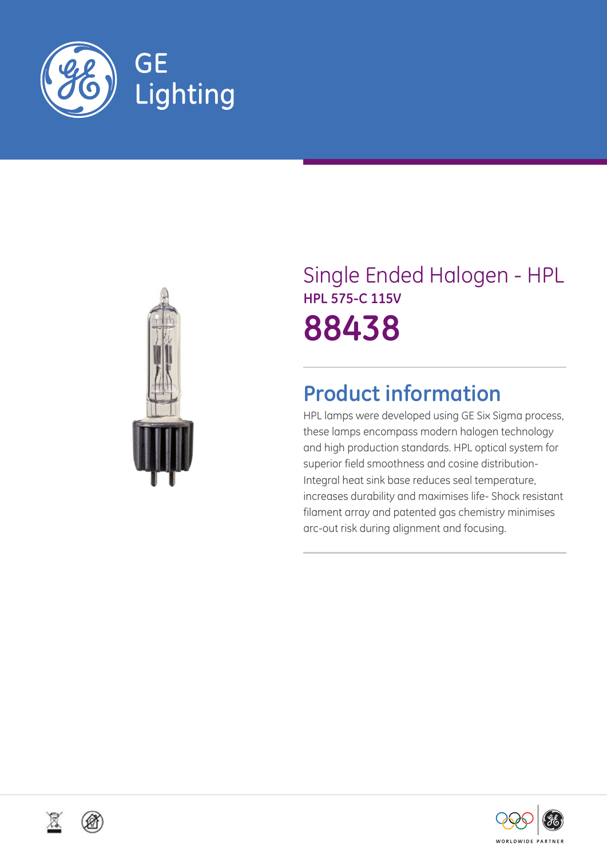



# Single Ended Halogen - HPL **HPL 575-C 115V 88438**

## **Product information**

HPL lamps were developed using GE Six Sigma process, these lamps encompass modern halogen technology and high production standards. HPL optical system for superior field smoothness and cosine distribution-Integral heat sink base reduces seal temperature, increases durability and maximises life- Shock resistant filament array and patented gas chemistry minimises arc-out risk during alignment and focusing.



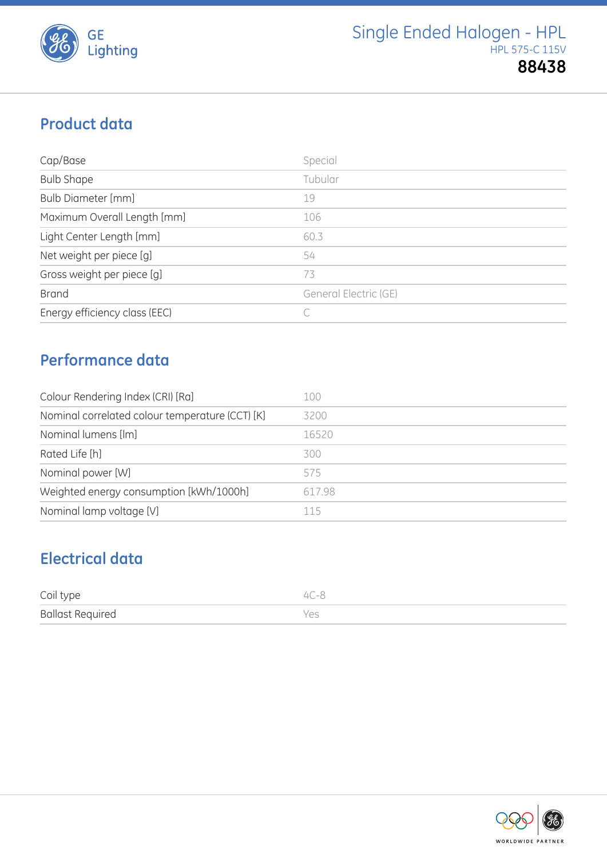

## **Product data**

| Cap/Base                      | Special               |
|-------------------------------|-----------------------|
| <b>Bulb Shape</b>             | Tubular               |
| <b>Bulb Diameter [mm]</b>     | 19                    |
| Maximum Overall Length [mm]   | 106                   |
| Light Center Length [mm]      | 60.3                  |
| Net weight per piece [g]      | 54                    |
| Gross weight per piece [g]    | 73                    |
| <b>Brand</b>                  | General Electric (GE) |
| Energy efficiency class (EEC) |                       |

### **Performance data**

| Colour Rendering Index (CRI) [Ra]               | 100    |
|-------------------------------------------------|--------|
| Nominal correlated colour temperature (CCT) [K] | 3200   |
| Nominal lumens [lm]                             | 16520  |
| Rated Life [h]                                  | 300    |
| Nominal power [W]                               | 575    |
| Weighted energy consumption [kWh/1000h]         | 617.98 |
| Nominal lamp voltage [V]                        | 115    |

## **Electrical data**

| Coil type               | $4C-8$ |
|-------------------------|--------|
| <b>Ballast Required</b> | Yes    |